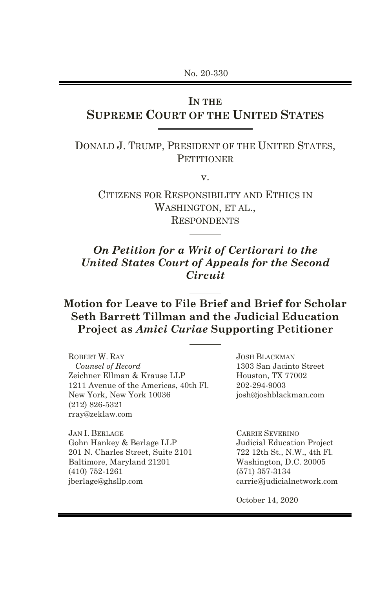No. 20-330

# **IN THE**

# **SUPREME COURT OF THE UNITED STATES**

DONALD J. TRUMP, PRESIDENT OF THE UNITED STATES, **PETITIONER** 

v.

CITIZENS FOR RESPONSIBILITY AND ETHICS IN WASHINGTON, ET AL., RESPONDENTS

## *On Petition for a Writ of Certiorari to the United States Court of Appeals for the Second Circuit*

## **Motion for Leave to File Brief and Brief for Scholar Seth Barrett Tillman and the Judicial Education Project as** *Amici Curiae* **Supporting Petitioner**

ROBERT W. RAY *Counsel of Record* Zeichner Ellman & Krause LLP 1211 Avenue of the Americas, 40th Fl. New York, New York 10036 (212) 826-5321 rray@zeklaw.com

JAN I. BERLAGE Gohn Hankey & Berlage LLP 201 N. Charles Street, Suite 2101 Baltimore, Maryland 21201 (410) 752-1261 jberlage@ghsllp.com

JOSH BLACKMAN 1303 San Jacinto Street Houston, TX 77002 202-294-9003 [josh@joshblackman.com](mailto:josh@joshblackman.com)

CARRIE SEVERINO Judicial Education Project 722 12th St., N.W., 4th Fl. Washington, D.C. 20005 (571) 357-3134 carrie@judicialnetwork.com

October 14, 2020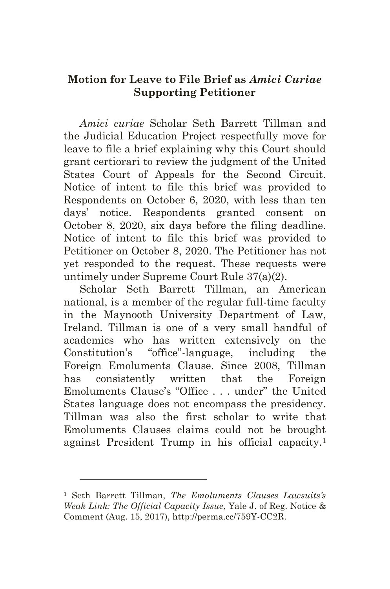## **Motion for Leave to File Brief as** *Amici Curiae* **Supporting Petitioner**

*Amici curiae* Scholar Seth Barrett Tillman and the Judicial Education Project respectfully move for leave to file a brief explaining why this Court should grant certiorari to review the judgment of the United States Court of Appeals for the Second Circuit. Notice of intent to file this brief was provided to Respondents on October 6, 2020, with less than ten days' notice. Respondents granted consent on October 8, 2020, six days before the filing deadline. Notice of intent to file this brief was provided to Petitioner on October 8, 2020. The Petitioner has not yet responded to the request. These requests were untimely under Supreme Court Rule 37(a)(2).

Scholar Seth Barrett Tillman, an American national, is a member of the regular full-time faculty in the Maynooth University Department of Law, Ireland. Tillman is one of a very small handful of academics who has written extensively on the Constitution's "office"-language, including the Foreign Emoluments Clause. Since 2008, Tillman has consistently written that the Foreign Emoluments Clause's "Office ... under" the United States language does not encompass the presidency. Tillman was also the first scholar to write that Emoluments Clauses claims could not be brought against President Trump in his official capacity.<sup>1</sup>

<sup>1</sup> Seth Barrett Tillman, *The Emoluments Clauses Lawsuits's Weak Link: The Official Capacity Issue*, Yale J. of Reg. Notice & Comment (Aug. 15, 2017), [http://perma.cc/759Y-CC2R.](http://perma.cc/759Y-CC2R)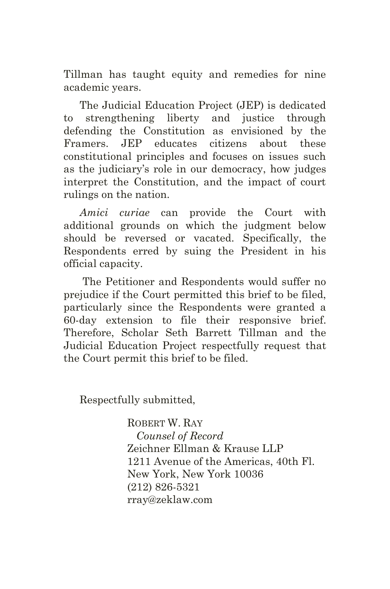Tillman has taught equity and remedies for nine academic years.

The Judicial Education Project (JEP) is dedicated to strengthening liberty and justice through defending the Constitution as envisioned by the Framers. JEP educates citizens about these constitutional principles and focuses on issues such as the judiciary's role in our democracy, how judges interpret the Constitution, and the impact of court rulings on the nation.

*Amici curiae* can provide the Court with additional grounds on which the judgment below should be reversed or vacated. Specifically, the Respondents erred by suing the President in his official capacity.

The Petitioner and Respondents would suffer no prejudice if the Court permitted this brief to be filed, particularly since the Respondents were granted a 60-day extension to file their responsive brief. Therefore, Scholar Seth Barrett Tillman and the Judicial Education Project respectfully request that the Court permit this brief to be filed.

Respectfully submitted,

ROBERT W. RAY *Counsel of Record* Zeichner Ellman & Krause LLP 1211 Avenue of the Americas, 40th Fl. New York, New York 10036 (212) 826-5321 rray@zeklaw.com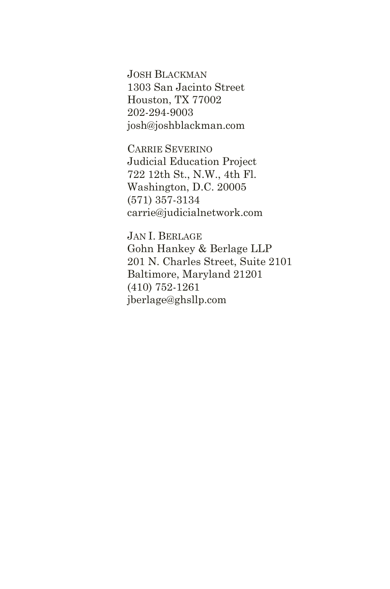JOSH BLACKMAN 1303 San Jacinto Street Houston, TX 77002 202-294-9003 josh@joshblackman.com

CARRIE SEVERINO Judicial Education Project 722 12th St., N.W., 4th Fl. Washington, D.C. 20005 (571) 357-3134 carrie@judicialnetwork.com

JAN I. BERLAGE Gohn Hankey & Berlage LLP 201 N. Charles Street, Suite 2101 Baltimore, Maryland 21201 (410) 752-1261 jberlage@ghsllp.com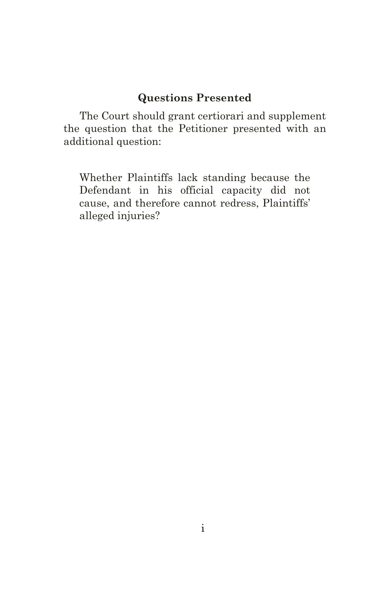## **Questions Presented**

The Court should grant certiorari and supplement the question that the Petitioner presented with an additional question:

Whether Plaintiffs lack standing because the Defendant in his official capacity did not cause, and therefore cannot redress, Plaintiffs' alleged injuries?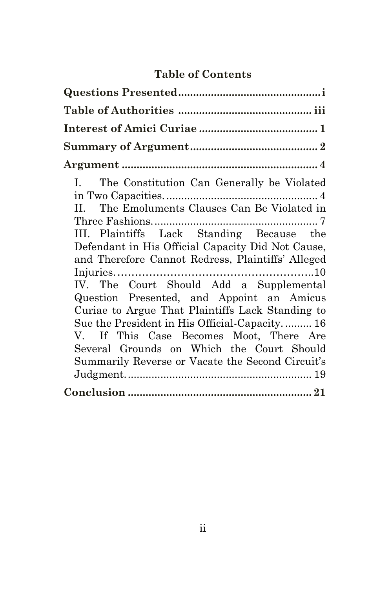# **Table of Contents**

| I. The Constitution Can Generally be Violated<br>II. The Emoluments Clauses Can Be Violated in<br>III. Plaintiffs Lack Standing Because the<br>Defendant in His Official Capacity Did Not Cause,<br>and Therefore Cannot Redress, Plaintiffs' Alleged<br>IV. The Court Should Add a Supplemental<br>Question Presented, and Appoint an Amicus<br>Curiae to Argue That Plaintiffs Lack Standing to<br>Sue the President in His Official-Capacity 16<br>V. If This Case Becomes Moot, There Are<br>Several Grounds on Which the Court Should<br>Summarily Reverse or Vacate the Second Circuit's |
|------------------------------------------------------------------------------------------------------------------------------------------------------------------------------------------------------------------------------------------------------------------------------------------------------------------------------------------------------------------------------------------------------------------------------------------------------------------------------------------------------------------------------------------------------------------------------------------------|
|                                                                                                                                                                                                                                                                                                                                                                                                                                                                                                                                                                                                |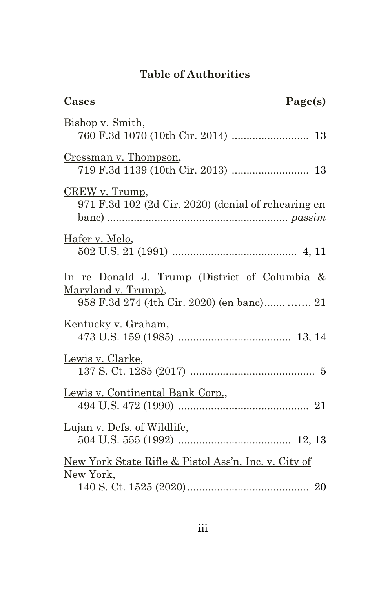# **Table of Authorities**

| <u>Cases</u><br>Page(s)                                                                                                       |
|-------------------------------------------------------------------------------------------------------------------------------|
| Bishop v. Smith,                                                                                                              |
| Cressman v. Thompson,                                                                                                         |
| CREW v. Trump,<br>971 F.3d 102 (2d Cir. 2020) (denial of rehearing en                                                         |
| Hafer v. Melo,                                                                                                                |
| <u>In re Donald J. Trump (District of Columbia &amp; </u><br>Maryland v. Trump),<br>958 F.3d 274 (4th Cir. 2020) (en banc) 21 |
| Kentucky v. Graham,                                                                                                           |
| Lewis v. Clarke,                                                                                                              |
| Lewis v. Continental Bank Corp.,                                                                                              |
| Lujan v. Defs. of Wildlife,                                                                                                   |
| New York State Rifle & Pistol Ass'n, Inc. v. City of<br>New York,                                                             |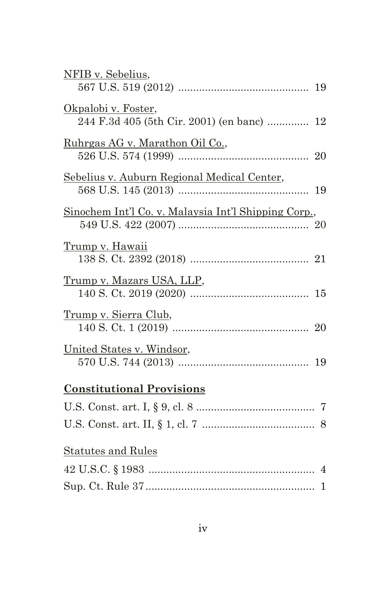| NFIB v. Sebelius,                                    |  |
|------------------------------------------------------|--|
|                                                      |  |
| Okpalobi v. Foster,                                  |  |
| 244 F.3d 405 (5th Cir. 2001) (en banc)  12           |  |
| Ruhrgas AG v. Marathon Oil Co.,                      |  |
|                                                      |  |
| Sebelius v. Auburn Regional Medical Center,          |  |
|                                                      |  |
| Sinochem Int'l Co. v. Malaysia Int'l Shipping Corp., |  |
|                                                      |  |
| <u>Trump v. Hawaii</u>                               |  |
|                                                      |  |
| <u>Trump v. Mazars USA, LLP,</u>                     |  |
|                                                      |  |
| <u>Trump v. Sierra Club,</u>                         |  |
|                                                      |  |
| United States v. Windsor,                            |  |
|                                                      |  |
| <b>Constitutional Provisions</b>                     |  |
|                                                      |  |
|                                                      |  |
| <b>Statutes and Rules</b>                            |  |
|                                                      |  |
|                                                      |  |
|                                                      |  |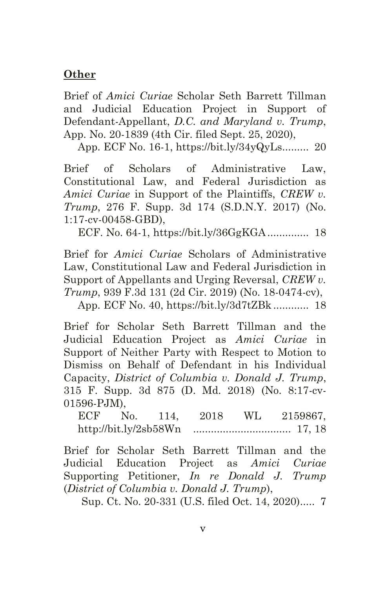### **Other**

Brief of *Amici Curiae* Scholar Seth Barrett Tillman and Judicial Education Project in Support of Defendant-Appellant, *D.C. and Maryland v. Trump*, App. No. 20-1839 (4th Cir. filed Sept. 25, 2020),

App. ECF No. 16-1, https://bit.ly/34yQyLs......... 20

Brief of Scholars of Administrative Law, Constitutional Law, and Federal Jurisdiction as *Amici Curiae* in Support of the Plaintiffs, *CREW v. Trump*, 276 F. Supp. 3d 174 (S.D.N.Y. 2017) (No. 1:17-cv-00458-GBD),

ECF. No. 64-1, https://bit.ly/36GgKGA.............. 18

Brief for *Amici Curiae* Scholars of Administrative Law, Constitutional Law and Federal Jurisdiction in Support of Appellants and Urging Reversal, *CREW v. Trump*, 939 F.3d 131 (2d Cir. 2019) (No. 18-0474-cv),

App. ECF No. 40, https://bit.ly/3d7tZBk ............ 18

Brief for Scholar Seth Barrett Tillman and the Judicial Education Project as *Amici Curiae* in Support of Neither Party with Respect to Motion to Dismiss on Behalf of Defendant in his Individual Capacity, *District of Columbia v. Donald J. Trump*, 315 F. Supp. 3d 875 (D. Md. 2018) (No. 8:17-cv-01596-PJM),

ECF No. 114, 2018 WL 2159867, http://bit.ly/2sb58Wn ................................. 17, 18

Brief for Scholar Seth Barrett Tillman and the Judicial Education Project as *Amici Curiae* Supporting Petitioner, *In re Donald J. Trump* (*District of Columbia v. Donald J. Trump*),

Sup. Ct. No. 20-331 (U.S. filed Oct. 14, 2020)..... 7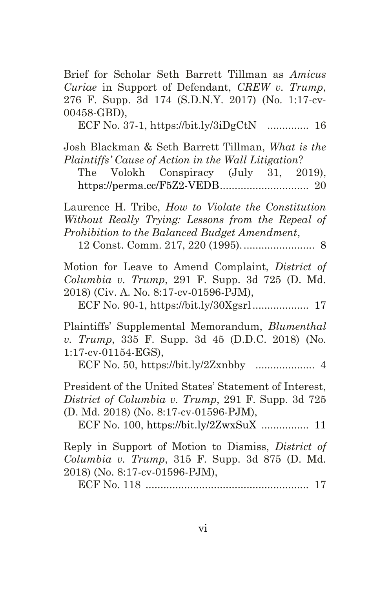Brief for Scholar Seth Barrett Tillman as *Amicus Curiae* in Support of Defendant, *CREW v. Trump*, 276 F. Supp. 3d 174 (S.D.N.Y. 2017) (No. 1:17-cv-00458-GBD), ECF No. 37-1, https://bit.ly/3iDgCtN .............. 16 Josh Blackman & Seth Barrett Tillman, *What is the Plaintiffs' Cause of Action in the Wall Litigation*? The Volokh Conspiracy (July 31, 2019), https://perma.cc/F5Z2-VEDB.............................. 20 Laurence H. Tribe, *How to Violate the Constitution Without Really Trying: Lessons from the Repeal of Prohibition to the Balanced Budget Amendment*, 12 Const. Comm. 217, 220 (1995)......................... 8 Motion for Leave to Amend Complaint, *District of Columbia v. Trump*, 291 F. Supp. 3d 725 (D. Md. 2018) (Civ. A. No. 8:17-cv-01596-PJM), ECF No. 90-1, https://bit.ly/30Xgsrl................... 17 Plaintiffs' Supplemental Memorandum, *Blumenthal v. Trump*, 335 F. Supp. 3d 45 (D.D.C. 2018) (No. 1:17-cv-01154-EGS), ECF No. 50, https://bit.ly/2Zxnbby .................... 4 President of the United States' Statement of Interest, *District of Columbia v. Trump*, 291 F. Supp. 3d 725 (D. Md. 2018) (No. 8:17-cv-01596-PJM), ECF No. 100, https://bit.ly/2ZwxSuX ................ 11 Reply in Support of Motion to Dismiss, *District of Columbia v. Trump*, 315 F. Supp. 3d 875 (D. Md. 2018) (No. 8:17-cv-01596-PJM), ECF No. 118 ....................................................... 17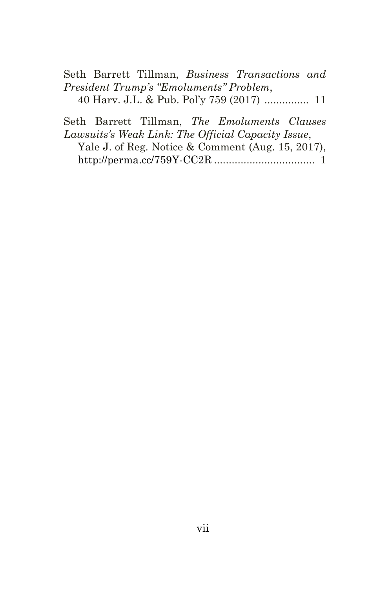Seth Barrett Tillman, *Business Transactions and President Trump's "Emoluments" Problem*, 40 Harv. J.L. & Pub. Pol'y 759 (2017) ............... 11

Seth Barrett Tillman, *The Emoluments Clauses Lawsuits's Weak Link: The Official Capacity Issue*, Yale J. of Reg. Notice & Comment (Aug. 15, 2017), http://perma.cc/759Y-CC2R .................................. 1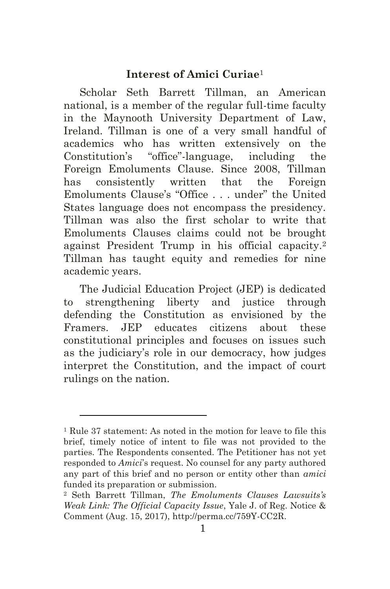#### **Interest of Amici Curiae**<sup>1</sup>

Scholar Seth Barrett Tillman, an American national, is a member of the regular full-time faculty in the Maynooth University Department of Law, Ireland. Tillman is one of a very small handful of academics who has written extensively on the Constitution's "office"-language, including the Foreign Emoluments Clause. Since 2008, Tillman has consistently written that the Foreign Emoluments Clause's "Office . . . under" the United States language does not encompass the presidency. Tillman was also the first scholar to write that Emoluments Clauses claims could not be brought against President Trump in his official capacity.<sup>2</sup> Tillman has taught equity and remedies for nine academic years.

The Judicial Education Project (JEP) is dedicated to strengthening liberty and justice through defending the Constitution as envisioned by the Framers. JEP educates citizens about these constitutional principles and focuses on issues such as the judiciary's role in our democracy, how judges interpret the Constitution, and the impact of court rulings on the nation.

<sup>1</sup> Rule 37 statement: As noted in the motion for leave to file this brief, timely notice of intent to file was not provided to the parties. The Respondents consented. The Petitioner has not yet responded to *Amici*'s request. No counsel for any party authored any part of this brief and no person or entity other than *amici* funded its preparation or submission.

<sup>2</sup> Seth Barrett Tillman, *The Emoluments Clauses Lawsuits's Weak Link: The Official Capacity Issue*, Yale J. of Reg. Notice & Comment (Aug. 15, 2017), [http://perma.cc/759Y-CC2R.](http://perma.cc/759Y-CC2R)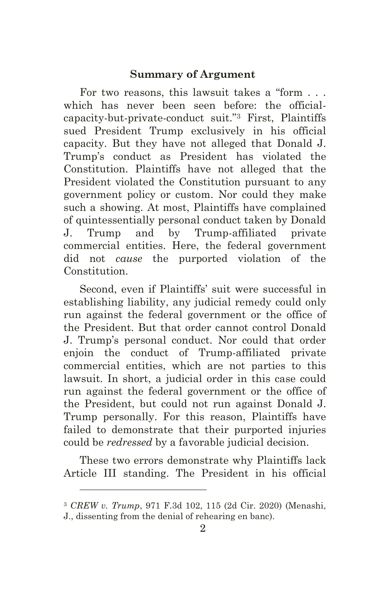#### **Summary of Argument**

For two reasons, this lawsuit takes a "form . . . which has never been seen before: the officialcapacity-but-private-conduct suit."<sup>3</sup> First, Plaintiffs sued President Trump exclusively in his official capacity. But they have not alleged that Donald J. Trump's conduct as President has violated the Constitution. Plaintiffs have not alleged that the President violated the Constitution pursuant to any government policy or custom. Nor could they make such a showing. At most, Plaintiffs have complained of quintessentially personal conduct taken by Donald J. Trump and by Trump-affiliated private commercial entities. Here, the federal government did not *cause* the purported violation of the Constitution.

Second, even if Plaintiffs' suit were successful in establishing liability, any judicial remedy could only run against the federal government or the office of the President. But that order cannot control Donald J. Trump's personal conduct. Nor could that order enjoin the conduct of Trump-affiliated private commercial entities, which are not parties to this lawsuit. In short, a judicial order in this case could run against the federal government or the office of the President, but could not run against Donald J. Trump personally. For this reason, Plaintiffs have failed to demonstrate that their purported injuries could be *redressed* by a favorable judicial decision.

These two errors demonstrate why Plaintiffs lack Article III standing. The President in his official

<sup>3</sup> *CREW v. Trump*, 971 F.3d 102, 115 (2d Cir. 2020) (Menashi, J., dissenting from the denial of rehearing en banc).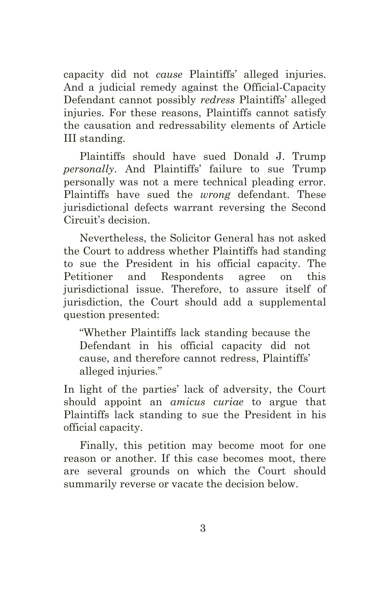capacity did not *cause* Plaintiffs' alleged injuries. And a judicial remedy against the Official-Capacity Defendant cannot possibly *redress* Plaintiffs' alleged injuries. For these reasons, Plaintiffs cannot satisfy the causation and redressability elements of Article III standing.

Plaintiffs should have sued Donald J. Trump *personally*. And Plaintiffs' failure to sue Trump personally was not a mere technical pleading error. Plaintiffs have sued the *wrong* defendant. These jurisdictional defects warrant reversing the Second Circuit's decision.

Nevertheless, the Solicitor General has not asked the Court to address whether Plaintiffs had standing to sue the President in his official capacity. The Petitioner and Respondents agree on this jurisdictional issue. Therefore, to assure itself of jurisdiction, the Court should add a supplemental question presented:

"Whether Plaintiffs lack standing because the Defendant in his official capacity did not cause, and therefore cannot redress, Plaintiffs' alleged injuries."

In light of the parties' lack of adversity, the Court should appoint an *amicus curiae* to argue that Plaintiffs lack standing to sue the President in his official capacity.

Finally, this petition may become moot for one reason or another. If this case becomes moot, there are several grounds on which the Court should summarily reverse or vacate the decision below.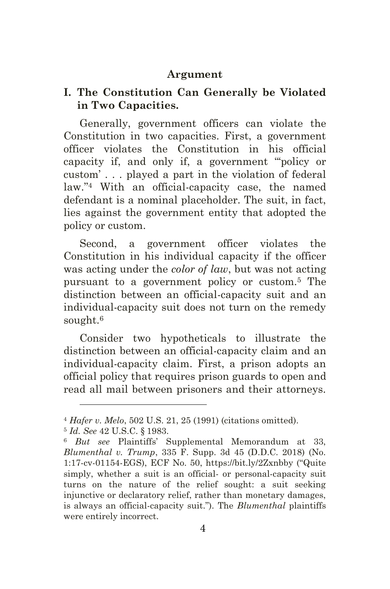#### **Argument**

### **I. The Constitution Can Generally be Violated in Two Capacities.**

Generally, government officers can violate the Constitution in two capacities. First, a government officer violates the Constitution in his official capacity if, and only if, a government "'policy or custom' . . . played a part in the violation of federal law."<sup>4</sup> With an official-capacity case, the named defendant is a nominal placeholder. The suit, in fact, lies against the government entity that adopted the policy or custom.

Second, a government officer violates the Constitution in his individual capacity if the officer was acting under the *color of law*, but was not acting pursuant to a government policy or custom.<sup>5</sup> The distinction between an official-capacity suit and an individual-capacity suit does not turn on the remedy sought.<sup>6</sup>

Consider two hypotheticals to illustrate the distinction between an official-capacity claim and an individual-capacity claim. First, a prison adopts an official policy that requires prison guards to open and read all mail between prisoners and their attorneys.

<sup>4</sup> *Hafer v. Melo*, 502 U.S. 21, 25 (1991) (citations omitted).

<sup>5</sup> *Id. See* 42 U.S.C. § 1983.

<sup>6</sup> *But see* Plaintiffs' Supplemental Memorandum at 33, *Blumenthal v. Trump*, 335 F. Supp. 3d 45 (D.D.C. 2018) (No. 1:17-cv-01154-EGS), ECF No. 50, https://bit.ly/2Zxnbby ("Quite simply, whether a suit is an official- or personal-capacity suit turns on the nature of the relief sought: a suit seeking injunctive or declaratory relief, rather than monetary damages, is always an official-capacity suit."). The *Blumenthal* plaintiffs were entirely incorrect.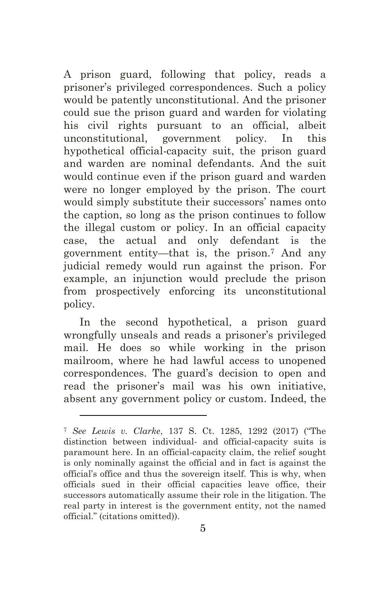A prison guard, following that policy, reads a prisoner's privileged correspondences. Such a policy would be patently unconstitutional. And the prisoner could sue the prison guard and warden for violating his civil rights pursuant to an official, albeit unconstitutional, government policy. In this hypothetical official-capacity suit, the prison guard and warden are nominal defendants. And the suit would continue even if the prison guard and warden were no longer employed by the prison. The court would simply substitute their successors' names onto the caption, so long as the prison continues to follow the illegal custom or policy. In an official capacity case, the actual and only defendant is the government entity—that is, the prison. <sup>7</sup> And any judicial remedy would run against the prison. For example, an injunction would preclude the prison from prospectively enforcing its unconstitutional policy.

In the second hypothetical, a prison guard wrongfully unseals and reads a prisoner's privileged mail. He does so while working in the prison mailroom, where he had lawful access to unopened correspondences. The guard's decision to open and read the prisoner's mail was his own initiative, absent any government policy or custom. Indeed, the

<sup>7</sup> *See Lewis v. Clarke*, 137 S. Ct. 1285, 1292 (2017) ("The distinction between individual- and official-capacity suits is paramount here. In an official-capacity claim, the relief sought is only nominally against the official and in fact is against the official's office and thus the sovereign itself. This is why, when officials sued in their official capacities leave office, their successors automatically assume their role in the litigation. The real party in interest is the government entity, not the named official." (citations omitted)).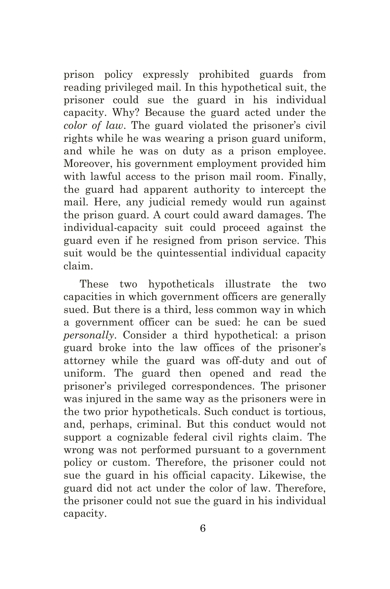prison policy expressly prohibited guards from reading privileged mail. In this hypothetical suit, the prisoner could sue the guard in his individual capacity. Why? Because the guard acted under the *color of law*. The guard violated the prisoner's civil rights while he was wearing a prison guard uniform, and while he was on duty as a prison employee. Moreover, his government employment provided him with lawful access to the prison mail room. Finally, the guard had apparent authority to intercept the mail. Here, any judicial remedy would run against the prison guard. A court could award damages. The individual-capacity suit could proceed against the guard even if he resigned from prison service. This suit would be the quintessential individual capacity claim.

These two hypotheticals illustrate the two capacities in which government officers are generally sued. But there is a third, less common way in which a government officer can be sued: he can be sued *personally*. Consider a third hypothetical: a prison guard broke into the law offices of the prisoner's attorney while the guard was off-duty and out of uniform. The guard then opened and read the prisoner's privileged correspondences. The prisoner was injured in the same way as the prisoners were in the two prior hypotheticals. Such conduct is tortious, and, perhaps, criminal. But this conduct would not support a cognizable federal civil rights claim. The wrong was not performed pursuant to a government policy or custom. Therefore, the prisoner could not sue the guard in his official capacity. Likewise, the guard did not act under the color of law. Therefore, the prisoner could not sue the guard in his individual capacity.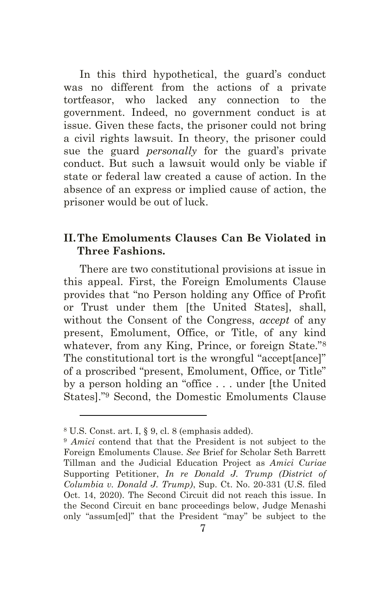In this third hypothetical, the guard's conduct was no different from the actions of a private tortfeasor, who lacked any connection to the government. Indeed, no government conduct is at issue. Given these facts, the prisoner could not bring a civil rights lawsuit. In theory, the prisoner could sue the guard *personally* for the guard's private conduct. But such a lawsuit would only be viable if state or federal law created a cause of action. In the absence of an express or implied cause of action, the prisoner would be out of luck.

### **II.The Emoluments Clauses Can Be Violated in Three Fashions.**

There are two constitutional provisions at issue in this appeal. First, the Foreign Emoluments Clause provides that "no Person holding any Office of Profit or Trust under them [the United States], shall, without the Consent of the Congress, *accept* of any present, Emolument, Office, or Title, of any kind whatever, from any King, Prince, or foreign State."<sup>8</sup> The constitutional tort is the wrongful "accept[ance]" of a proscribed "present, Emolument, Office, or Title" by a person holding an "office . . . under [the United States]."<sup>9</sup> Second, the Domestic Emoluments Clause

<sup>8</sup> U.S. Const. art. I, § 9, cl. 8 (emphasis added).

<sup>9</sup> *Amici* contend that that the President is not subject to the Foreign Emoluments Clause. *See* Brief for Scholar Seth Barrett Tillman and the Judicial Education Project as *Amici Curiae* Supporting Petitioner, *In re Donald J. Trump (District of Columbia v. Donald J. Trump)*, Sup. Ct. No. 20-331 (U.S. filed Oct. 14, 2020). The Second Circuit did not reach this issue. In the Second Circuit en banc proceedings below, Judge Menashi only "assum[ed]" that the President "may" be subject to the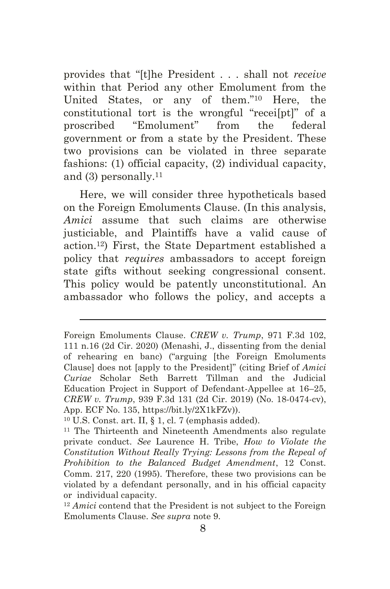provides that "[t]he President . . . shall not *receive* within that Period any other Emolument from the United States, or any of them."<sup>10</sup> Here, the constitutional tort is the wrongful "recei[pt]" of a proscribed "Emolument" from the federal government or from a state by the President. These two provisions can be violated in three separate fashions: (1) official capacity, (2) individual capacity, and (3) personally. 11

Here, we will consider three hypotheticals based on the Foreign Emoluments Clause. (In this analysis, *Amici* assume that such claims are otherwise justiciable, and Plaintiffs have a valid cause of action.12) First, the State Department established a policy that *requires* ambassadors to accept foreign state gifts without seeking congressional consent. This policy would be patently unconstitutional. An ambassador who follows the policy, and accepts a

Foreign Emoluments Clause. *CREW v. Trump*, 971 F.3d 102, 111 n.16 (2d Cir. 2020) (Menashi, J., dissenting from the denial of rehearing en banc) ("arguing [the Foreign Emoluments Clause] does not [apply to the President]" (citing Brief of *Amici Curiae* Scholar Seth Barrett Tillman and the Judicial Education Project in Support of Defendant-Appellee at 16–25, *CREW v. Trump*, 939 F.3d 131 (2d Cir. 2019) (No. 18-0474-cv), App. ECF No. 135, https://bit.ly/2X1kFZv)).

 $10$  U.S. Const. art. II, § 1, cl. 7 (emphasis added).

<sup>11</sup> The Thirteenth and Nineteenth Amendments also regulate private conduct. *See* Laurence H. Tribe, *How to Violate the Constitution Without Really Trying: Lessons from the Repeal of Prohibition to the Balanced Budget Amendment*, 12 Const. Comm. 217, 220 (1995). Therefore, these two provisions can be violated by a defendant personally, and in his official capacity or individual capacity.

<sup>12</sup> *Amici* contend that the President is not subject to the Foreign Emoluments Clause. *See supra* note 9.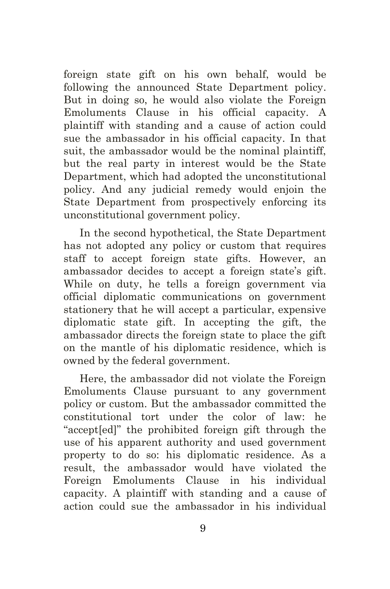foreign state gift on his own behalf, would be following the announced State Department policy. But in doing so, he would also violate the Foreign Emoluments Clause in his official capacity. A plaintiff with standing and a cause of action could sue the ambassador in his official capacity. In that suit, the ambassador would be the nominal plaintiff, but the real party in interest would be the State Department, which had adopted the unconstitutional policy. And any judicial remedy would enjoin the State Department from prospectively enforcing its unconstitutional government policy.

In the second hypothetical, the State Department has not adopted any policy or custom that requires staff to accept foreign state gifts. However, an ambassador decides to accept a foreign state's gift. While on duty, he tells a foreign government via official diplomatic communications on government stationery that he will accept a particular, expensive diplomatic state gift. In accepting the gift, the ambassador directs the foreign state to place the gift on the mantle of his diplomatic residence, which is owned by the federal government.

Here, the ambassador did not violate the Foreign Emoluments Clause pursuant to any government policy or custom. But the ambassador committed the constitutional tort under the color of law: he "accept[ed]" the prohibited foreign gift through the use of his apparent authority and used government property to do so: his diplomatic residence. As a result, the ambassador would have violated the Foreign Emoluments Clause in his individual capacity. A plaintiff with standing and a cause of action could sue the ambassador in his individual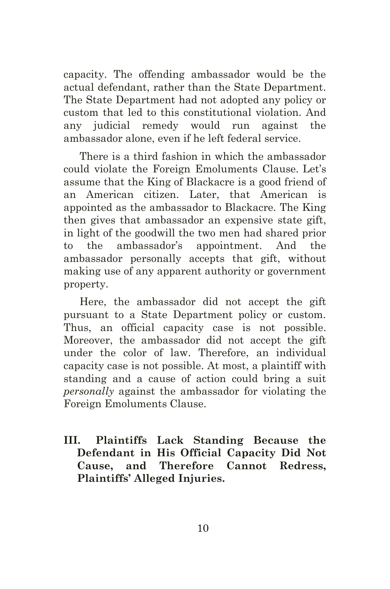capacity. The offending ambassador would be the actual defendant, rather than the State Department. The State Department had not adopted any policy or custom that led to this constitutional violation. And any judicial remedy would run against the ambassador alone, even if he left federal service.

There is a third fashion in which the ambassador could violate the Foreign Emoluments Clause. Let's assume that the King of Blackacre is a good friend of an American citizen. Later, that American is appointed as the ambassador to Blackacre. The King then gives that ambassador an expensive state gift, in light of the goodwill the two men had shared prior to the ambassador's appointment. And the ambassador personally accepts that gift, without making use of any apparent authority or government property.

Here, the ambassador did not accept the gift pursuant to a State Department policy or custom. Thus, an official capacity case is not possible. Moreover, the ambassador did not accept the gift under the color of law. Therefore, an individual capacity case is not possible. At most, a plaintiff with standing and a cause of action could bring a suit *personally* against the ambassador for violating the Foreign Emoluments Clause.

**III. Plaintiffs Lack Standing Because the Defendant in His Official Capacity Did Not Cause, and Therefore Cannot Redress, Plaintiffs' Alleged Injuries.**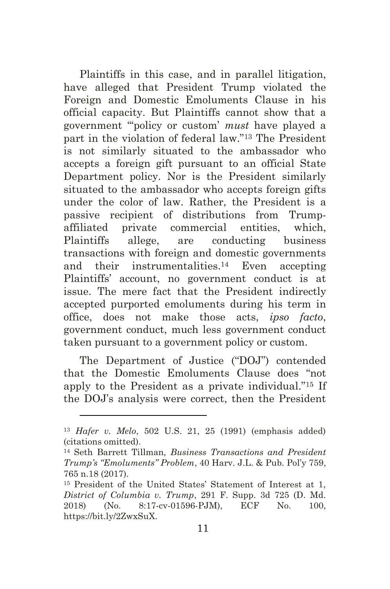Plaintiffs in this case, and in parallel litigation, have alleged that President Trump violated the Foreign and Domestic Emoluments Clause in his official capacity. But Plaintiffs cannot show that a government "'policy or custom' *must* have played a part in the violation of federal law."<sup>13</sup> The President is not similarly situated to the ambassador who accepts a foreign gift pursuant to an official State Department policy. Nor is the President similarly situated to the ambassador who accepts foreign gifts under the color of law. Rather, the President is a passive recipient of distributions from Trumpaffiliated private commercial entities, which, Plaintiffs allege, are conducting business transactions with foreign and domestic governments and their instrumentalities. <sup>14</sup> Even accepting Plaintiffs' account, no government conduct is at issue. The mere fact that the President indirectly accepted purported emoluments during his term in office, does not make those acts, *ipso facto*, government conduct, much less government conduct taken pursuant to a government policy or custom.

The Department of Justice ("DOJ") contended that the Domestic Emoluments Clause does "not apply to the President as a private individual."<sup>15</sup> If the DOJ's analysis were correct, then the President

<sup>13</sup> *Hafer v. Melo*, 502 U.S. 21, 25 (1991) (emphasis added) (citations omitted).

<sup>14</sup> Seth Barrett Tillman*, Business Transactions and President Trump's "Emoluments" Problem*, 40 Harv. J.L. & Pub. Pol'y 759, 765 n.18 (2017).

<sup>15</sup> President of the United States' Statement of Interest at 1, *District of Columbia v. Trump*, 291 F. Supp. 3d 725 (D. Md. 2018) (No. 8:17-cv-01596-PJM), ECF No. 100, [https://bit.ly/2ZwxSuX.](https://bit.ly/2ZwxSuX)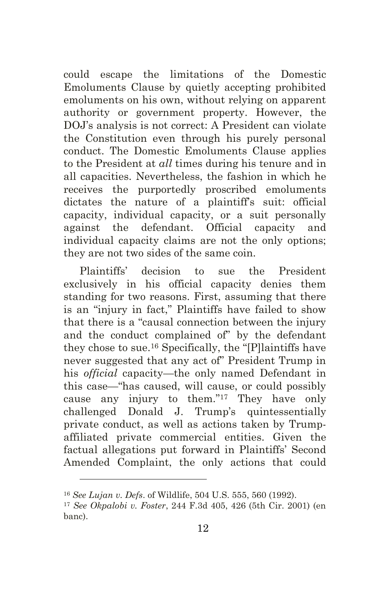could escape the limitations of the Domestic Emoluments Clause by quietly accepting prohibited emoluments on his own, without relying on apparent authority or government property. However, the DOJ's analysis is not correct: A President can violate the Constitution even through his purely personal conduct. The Domestic Emoluments Clause applies to the President at *all* times during his tenure and in all capacities. Nevertheless, the fashion in which he receives the purportedly proscribed emoluments dictates the nature of a plaintiff's suit: official capacity, individual capacity, or a suit personally against the defendant. Official capacity and individual capacity claims are not the only options; they are not two sides of the same coin.

Plaintiffs' decision to sue the President exclusively in his official capacity denies them standing for two reasons. First, assuming that there is an "injury in fact," Plaintiffs have failed to show that there is a "causal connection between the injury and the conduct complained of" by the defendant they chose to sue. <sup>16</sup> Specifically, the "[P]laintiffs have never suggested that any act of" President Trump in his *official* capacity—the only named Defendant in this case—"has caused, will cause, or could possibly cause any injury to them."<sup>17</sup> They have only challenged Donald J. Trump's quintessentially private conduct, as well as actions taken by Trumpaffiliated private commercial entities. Given the factual allegations put forward in Plaintiffs' Second Amended Complaint, the only actions that could

<sup>16</sup> *See Lujan v. Defs*. of Wildlife, 504 U.S. 555, 560 (1992).

<sup>17</sup> *See Okpalobi v. Foster*, 244 F.3d 405, 426 (5th Cir. 2001) (en banc).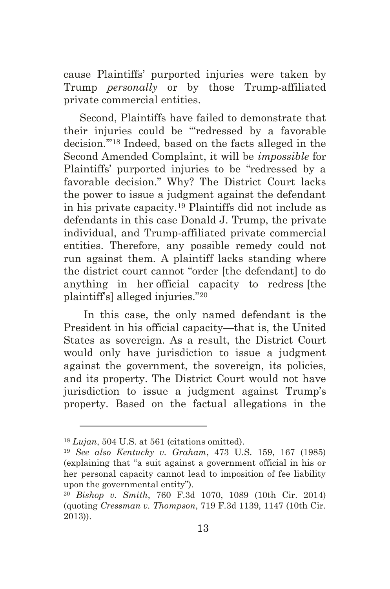cause Plaintiffs' purported injuries were taken by Trump *personally* or by those Trump-affiliated private commercial entities.

Second, Plaintiffs have failed to demonstrate that their injuries could be "'redressed by a favorable decision.'" <sup>18</sup> Indeed, based on the facts alleged in the Second Amended Complaint, it will be *impossible* for Plaintiffs' purported injuries to be "redressed by a favorable decision." Why? The District Court lacks the power to issue a judgment against the defendant in his private capacity.<sup>19</sup> Plaintiffs did not include as defendants in this case Donald J. Trump, the private individual, and Trump-affiliated private commercial entities. Therefore, any possible remedy could not run against them. A plaintiff lacks standing where the district court cannot "order [the defendant] to do anything in her official capacity to redress [the plaintiff's] alleged injuries."<sup>20</sup>

In this case, the only named defendant is the President in his official capacity—that is, the United States as sovereign. As a result, the District Court would only have jurisdiction to issue a judgment against the government, the sovereign, its policies, and its property. The District Court would not have jurisdiction to issue a judgment against Trump's property. Based on the factual allegations in the

<sup>18</sup> *Lujan*, 504 U.S. at 561 (citations omitted).

<sup>19</sup> *See also Kentucky v. Graham*, 473 U.S. 159, 167 (1985) (explaining that "a suit against a government official in his or her personal capacity cannot lead to imposition of fee liability upon the governmental entity").

<sup>20</sup> *Bishop v. Smith*, 760 F.3d 1070, 1089 (10th Cir. 2014) (quoting *Cressman v. Thompson*, 719 F.3d 1139, 1147 (10th Cir. 2013)).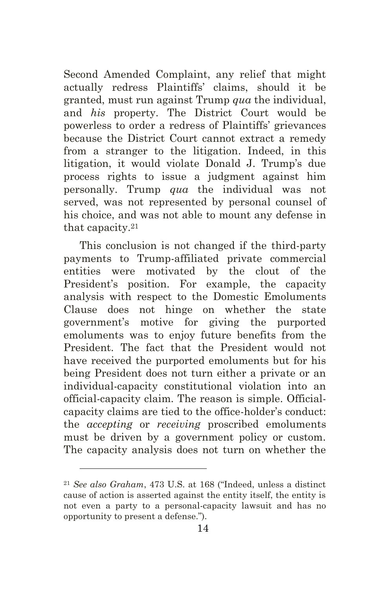Second Amended Complaint, any relief that might actually redress Plaintiffs' claims, should it be granted, must run against Trump *qua* the individual, and *his* property. The District Court would be powerless to order a redress of Plaintiffs' grievances because the District Court cannot extract a remedy from a stranger to the litigation. Indeed, in this litigation, it would violate Donald J. Trump's due process rights to issue a judgment against him personally. Trump *qua* the individual was not served, was not represented by personal counsel of his choice, and was not able to mount any defense in that capacity.<sup>21</sup>

This conclusion is not changed if the third-party payments to Trump-affiliated private commercial entities were motivated by the clout of the President's position. For example, the capacity analysis with respect to the Domestic Emoluments Clause does not hinge on whether the state government's motive for giving the purported emoluments was to enjoy future benefits from the President. The fact that the President would not have received the purported emoluments but for his being President does not turn either a private or an individual-capacity constitutional violation into an official-capacity claim. The reason is simple. Officialcapacity claims are tied to the office-holder's conduct: the *accepting* or *receiving* proscribed emoluments must be driven by a government policy or custom. The capacity analysis does not turn on whether the

<sup>21</sup> *See also Graham*, 473 U.S. at 168 ("Indeed, unless a distinct cause of action is asserted against the entity itself, the entity is not even a party to a personal-capacity lawsuit and has no opportunity to present a defense.").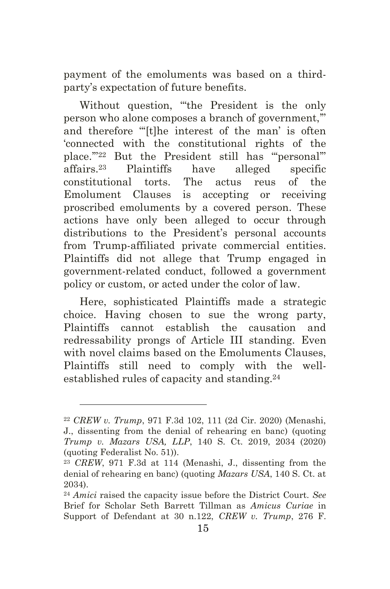payment of the emoluments was based on a thirdparty's expectation of future benefits.

Without question, "'the President is the only person who alone composes a branch of government,'" and therefore "[t]he interest of the man' is often 'connected with the constitutional rights of the place.'"<sup>22</sup> But the President still has "'personal'" affairs.<sup>23</sup> Plaintiffs have alleged specific constitutional torts. The actus reus of the Emolument Clauses is accepting or receiving proscribed emoluments by a covered person. These actions have only been alleged to occur through distributions to the President's personal accounts from Trump-affiliated private commercial entities. Plaintiffs did not allege that Trump engaged in government-related conduct, followed a government policy or custom, or acted under the color of law.

Here, sophisticated Plaintiffs made a strategic choice. Having chosen to sue the wrong party, Plaintiffs cannot establish the causation and redressability prongs of Article III standing. Even with novel claims based on the Emoluments Clauses, Plaintiffs still need to comply with the wellestablished rules of capacity and standing. 24

<sup>22</sup> *CREW v. Trump*, 971 F.3d 102, 111 (2d Cir. 2020) (Menashi, J., dissenting from the denial of rehearing en banc) (quoting *Trump v. Mazars USA, LLP*, 140 S. Ct. 2019, 2034 (2020) (quoting Federalist No. 51)).

<sup>23</sup> *CREW*, 971 F.3d at 114 (Menashi, J., dissenting from the denial of rehearing en banc) (quoting *Mazars USA*, 140 S. Ct. at 2034).

<sup>24</sup> *Amici* raised the capacity issue before the District Court. *See*  Brief for Scholar Seth Barrett Tillman as *Amicus Curiae* in Support of Defendant at 30 n.122, *CREW v. Trump*, 276 F.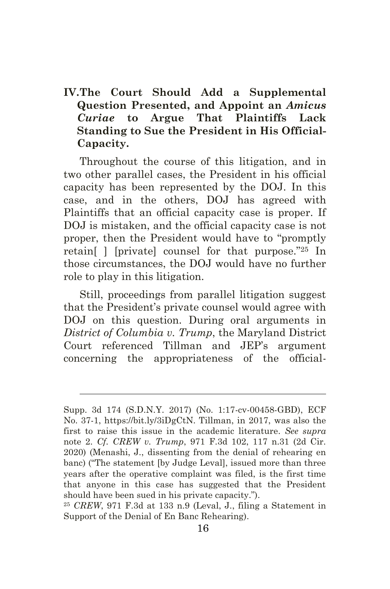## **IV.The Court Should Add a Supplemental Question Presented, and Appoint an** *Amicus Curiae* **to Argue That Plaintiffs Lack Standing to Sue the President in His Official-Capacity.**

Throughout the course of this litigation, and in two other parallel cases, the President in his official capacity has been represented by the DOJ. In this case, and in the others, DOJ has agreed with Plaintiffs that an official capacity case is proper. If DOJ is mistaken, and the official capacity case is not proper, then the President would have to "promptly retain[ ] [private] counsel for that purpose."<sup>25</sup> In those circumstances, the DOJ would have no further role to play in this litigation.

Still, proceedings from parallel litigation suggest that the President's private counsel would agree with DOJ on this question. During oral arguments in *District of Columbia v. Trump*, the Maryland District Court referenced Tillman and JEP's argument concerning the appropriateness of the official-

Supp. 3d 174 (S.D.N.Y. 2017) (No. 1:17-cv-00458-GBD), ECF No. 37-1, https://bit.ly/3iDgCtN. Tillman, in 2017, was also the first to raise this issue in the academic literature. *See supra*  note 2. *Cf. CREW v. Trump*, 971 F.3d 102, 117 n.31 (2d Cir. 2020) (Menashi, J., dissenting from the denial of rehearing en banc) ("The statement [by Judge Leval], issued more than three years after the operative complaint was filed, is the first time that anyone in this case has suggested that the President should have been sued in his private capacity.").

<sup>25</sup> *CREW*, 971 F.3d at 133 n.9 (Leval, J., filing a Statement in Support of the Denial of En Banc Rehearing).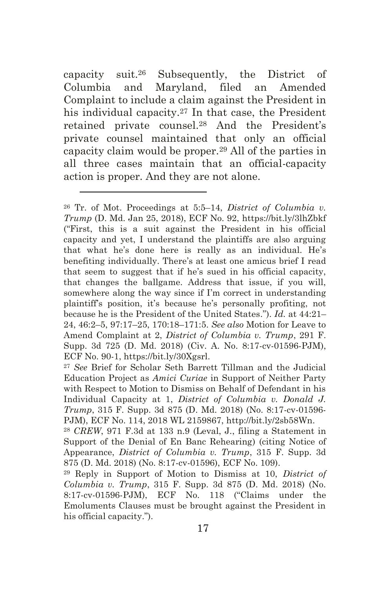capacity suit.<sup>26</sup> Subsequently, the District of Columbia and Maryland, filed an Amended Complaint to include a claim against the President in his individual capacity.<sup>27</sup> In that case, the President retained private counsel.<sup>28</sup> And the President's private counsel maintained that only an official capacity claim would be proper.<sup>29</sup> All of the parties in all three cases maintain that an official-capacity action is proper. And they are not alone.

<sup>26</sup> Tr. of Mot. Proceedings at 5:5–14, *District of Columbia v. Trump* (D. Md. Jan 25, 2018), ECF No. 92,<https://bit.ly/3lhZbkf> ("First, this is a suit against the President in his official capacity and yet, I understand the plaintiffs are also arguing that what he's done here is really as an individual. He's benefiting individually. There's at least one amicus brief I read that seem to suggest that if he's sued in his official capacity, that changes the ballgame. Address that issue, if you will, somewhere along the way since if I'm correct in understanding plaintiff's position, it's because he's personally profiting, not because he is the President of the United States."). *Id.* at 44:21– 24, 46:2–5, 97:17–25, 170:18–171:5. *See also* Motion for Leave to Amend Complaint at 2, *District of Columbia v. Trump*, 291 F. Supp. 3d 725 (D. Md. 2018) (Civ. A. No. 8:17-cv-01596-PJM), ECF No. 90-1, https://bit.ly/30Xgsrl.

<sup>27</sup> *See* Brief for Scholar Seth Barrett Tillman and the Judicial Education Project as *Amici Curiae* in Support of Neither Party with Respect to Motion to Dismiss on Behalf of Defendant in his Individual Capacity at 1, *District of Columbia v. Donald J. Trump*, 315 F. Supp. 3d 875 (D. Md. 2018) (No. 8:17-cv-01596- PJM), ECF No. 114, 2018 WL 2159867, [http://bit.ly/2sb58Wn.](http://bit.ly/2sb58Wn)

<sup>28</sup> *CREW*, 971 F.3d at 133 n.9 (Leval, J., filing a Statement in Support of the Denial of En Banc Rehearing) (citing Notice of Appearance, *District of Columbia v. Trump*, 315 F. Supp. 3d 875 (D. Md. 2018) (No. 8:17-cv-01596), ECF No. 109).

<sup>29</sup> Reply in Support of Motion to Dismiss at 10, *District of Columbia v. Trump*, 315 F. Supp. 3d 875 (D. Md. 2018) (No. 8:17-cv-01596-PJM), ECF No. 118 ("Claims under the Emoluments Clauses must be brought against the President in his official capacity.").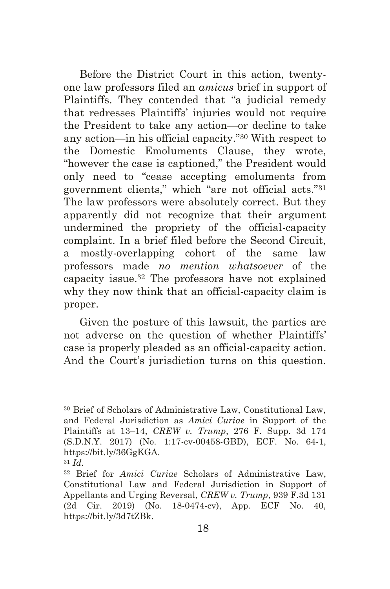Before the District Court in this action, twentyone law professors filed an *amicus* brief in support of Plaintiffs. They contended that "a judicial remedy that redresses Plaintiffs' injuries would not require the President to take any action—or decline to take any action—in his official capacity."<sup>30</sup> With respect to the Domestic Emoluments Clause, they wrote, "however the case is captioned," the President would only need to "cease accepting emoluments from government clients," which "are not official acts."<sup>31</sup> The law professors were absolutely correct. But they apparently did not recognize that their argument undermined the propriety of the official-capacity complaint. In a brief filed before the Second Circuit, a mostly-overlapping cohort of the same law professors made *no mention whatsoever* of the capacity issue. <sup>32</sup> The professors have not explained why they now think that an official-capacity claim is proper.

Given the posture of this lawsuit, the parties are not adverse on the question of whether Plaintiffs' case is properly pleaded as an official-capacity action. And the Court's jurisdiction turns on this question.

<sup>30</sup> Brief of Scholars of Administrative Law, Constitutional Law, and Federal Jurisdiction as *Amici Curiae* in Support of the Plaintiffs at 13–14, *CREW v. Trump*, 276 F. Supp. 3d 174 (S.D.N.Y. 2017) (No. 1:17-cv-00458-GBD), ECF. No. 64-1, https://bit.ly/36GgKGA.

<sup>31</sup> *Id.*

<sup>32</sup> Brief for *Amici Curiae* Scholars of Administrative Law, Constitutional Law and Federal Jurisdiction in Support of Appellants and Urging Reversal, *CREW v. Trump*, 939 F.3d 131 (2d Cir. 2019) (No. 18-0474-cv), App. ECF No. 40, https://bit.ly/3d7tZBk.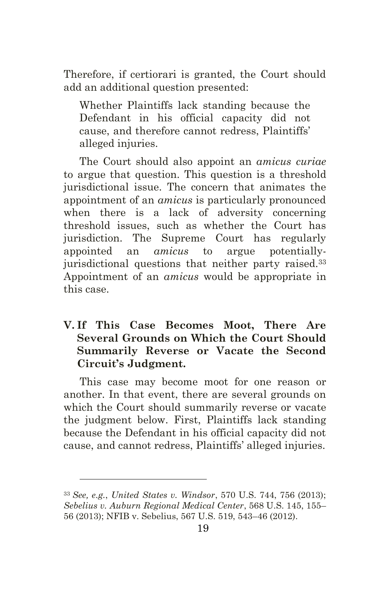Therefore, if certiorari is granted, the Court should add an additional question presented:

Whether Plaintiffs lack standing because the Defendant in his official capacity did not cause, and therefore cannot redress, Plaintiffs' alleged injuries.

The Court should also appoint an *amicus curiae* to argue that question. This question is a threshold jurisdictional issue. The concern that animates the appointment of an *amicus* is particularly pronounced when there is a lack of adversity concerning threshold issues, such as whether the Court has jurisdiction. The Supreme Court has regularly appointed an *amicus* to argue potentiallyjurisdictional questions that neither party raised.<sup>33</sup> Appointment of an *amicus* would be appropriate in this case.

## **V. If This Case Becomes Moot, There Are Several Grounds on Which the Court Should Summarily Reverse or Vacate the Second Circuit's Judgment.**

This case may become moot for one reason or another. In that event, there are several grounds on which the Court should summarily reverse or vacate the judgment below. First, Plaintiffs lack standing because the Defendant in his official capacity did not cause, and cannot redress, Plaintiffs' alleged injuries.

<sup>33</sup> *See, e.g.*, *United States v. Windsor*, 570 U.S. 744, 756 (2013); *Sebelius v. Auburn Regional Medical Center*, 568 U.S. 145, 155– 56 (2013); NFIB v. Sebelius, 567 U.S. 519, 543–46 (2012).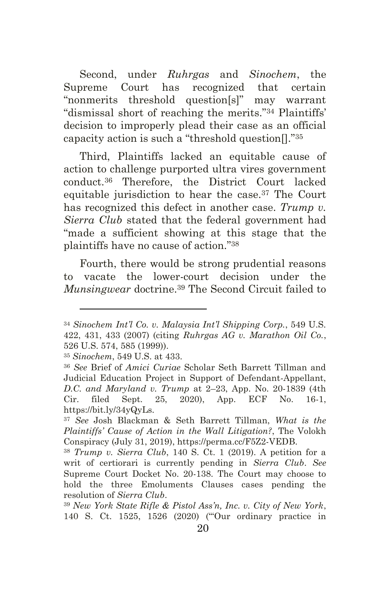Second, under *Ruhrgas* and *Sinochem*, the Supreme Court has recognized that certain "nonmerits threshold question[s]" may warrant "dismissal short of reaching the merits."<sup>34</sup> Plaintiffs' decision to improperly plead their case as an official capacity action is such a "threshold question[]."<sup>35</sup>

Third, Plaintiffs lacked an equitable cause of action to challenge purported ultra vires government conduct.<sup>36</sup> Therefore, the District Court lacked equitable jurisdiction to hear the case.<sup>37</sup> The Court has recognized this defect in another case. *Trump v. Sierra Club* stated that the federal government had "made a sufficient showing at this stage that the plaintiffs have no cause of action."<sup>38</sup>

Fourth, there would be strong prudential reasons to vacate the lower-court decision under the *Munsingwear* doctrine.<sup>39</sup> The Second Circuit failed to

<sup>34</sup> *Sinochem Int'l Co. v. Malaysia Int'l Shipping Corp.*, 549 U.S. 422, 431, 433 (2007) (citing *Ruhrgas AG v. Marathon Oil Co.*, 526 U.S. 574, 585 (1999)).

<sup>35</sup> *Sinochem*, 549 U.S. at 433.

<sup>36</sup> *See* Brief of *Amici Curiae* Scholar Seth Barrett Tillman and Judicial Education Project in Support of Defendant-Appellant, *D.C. and Maryland v. Trump* at 2–23, App. No. 20-1839 (4th Cir. filed Sept. 25, 2020), App. ECF No. 16-1, https://bit.ly/34yQyLs.

<sup>37</sup> *See* Josh Blackman & Seth Barrett Tillman, *What is the Plaintiffs' Cause of Action in the Wall Litigation?*, The Volokh Conspiracy (July 31, 2019), [https://perma.cc/F5Z2-VEDB.](https://perma.cc/F5Z2-VEDB)

<sup>38</sup> *Trump v. Sierra Club*, 140 S. Ct. 1 (2019). A petition for a writ of certiorari is currently pending in *Sierra Club*. *See*  Supreme Court Docket No. 20-138. The Court may choose to hold the three Emoluments Clauses cases pending the resolution of *Sierra Club*.

<sup>39</sup> *New York State Rifle & Pistol Ass'n, Inc. v. City of New York*, 140 S. Ct. 1525, 1526 (2020) ("'Our ordinary practice in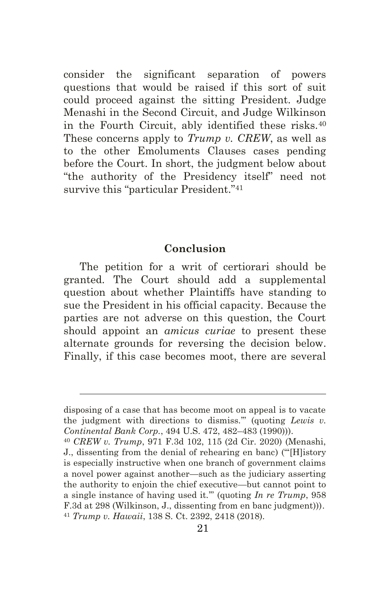consider the significant separation of powers questions that would be raised if this sort of suit could proceed against the sitting President. Judge Menashi in the Second Circuit, and Judge Wilkinson in the Fourth Circuit, ably identified these risks.<sup>40</sup> These concerns apply to *Trump v. CREW*, as well as to the other Emoluments Clauses cases pending before the Court. In short, the judgment below about "the authority of the Presidency itself" need not survive this "particular President."<sup>41</sup>

#### **Conclusion**

The petition for a writ of certiorari should be granted. The Court should add a supplemental question about whether Plaintiffs have standing to sue the President in his official capacity. Because the parties are not adverse on this question, the Court should appoint an *amicus curiae* to present these alternate grounds for reversing the decision below. Finally, if this case becomes moot, there are several

disposing of a case that has become moot on appeal is to vacate the judgment with directions to dismiss.'" (quoting *Lewis v. Continental Bank Corp.*, 494 U.S. 472, 482–483 (1990))).

<sup>40</sup> *CREW v. Trump*, 971 F.3d 102, 115 (2d Cir. 2020) (Menashi, J., dissenting from the denial of rehearing en banc) ("'[H]istory is especially instructive when one branch of government claims a novel power against another—such as the judiciary asserting the authority to enjoin the chief executive—but cannot point to a single instance of having used it.'" (quoting *In re Trump*, 958 F.3d at 298 (Wilkinson, J., dissenting from en banc judgment))). <sup>41</sup> *Trump v. Hawaii*, 138 S. Ct. 2392, 2418 (2018).